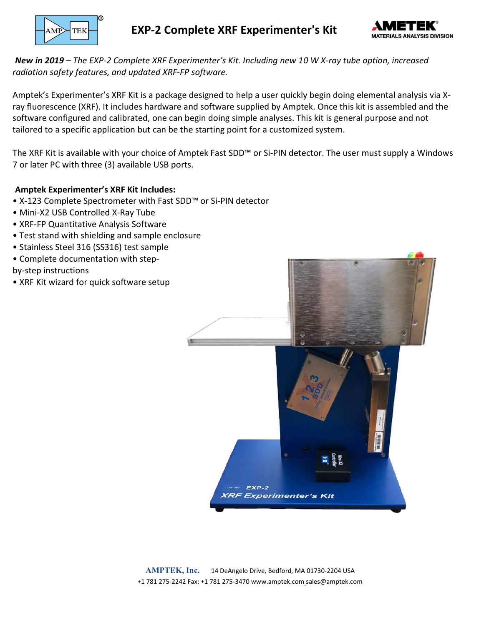

EXP-2 Complete XRF Experimenter's Kit



New in 2019 – The EXP-2 Complete XRF Experimenter's Kit. Including new 10 W X-ray tube option, increased radiation safety features, and updated XRF-FP software.

Amptek's Experimenter's XRF Kit is a package designed to help a user quickly begin doing elemental analysis via Xray fluorescence (XRF). It includes hardware and software supplied by Amptek. Once this kit is assembled and the software configured and calibrated, one can begin doing simple analyses. This kit is general purpose and not tailored to a specific application but can be the starting point for a customized system.

The XRF Kit is available with your choice of Amptek Fast SDD™ or Si-PIN detector. The user must supply a Windows 7 or later PC with three (3) available USB ports.

#### Amptek Experimenter's XRF Kit Includes:

- X-123 Complete Spectrometer with Fast SDD™ or Si-PIN detector
- Mini-X2 USB Controlled X-Ray Tube
- XRF-FP Quantitative Analysis Software
- Test stand with shielding and sample enclosure
- Stainless Steel 316 (SS316) test sample
- Complete documentation with step-

by-step instructions

• XRF Kit wizard for quick software setup



AMPTEK, Inc. 14 DeAngelo Drive, Bedford, MA 01730-2204 USA +1 781 275-2242 Fax: +1 781 275-3470 www.amptek.com sales@amptek.com